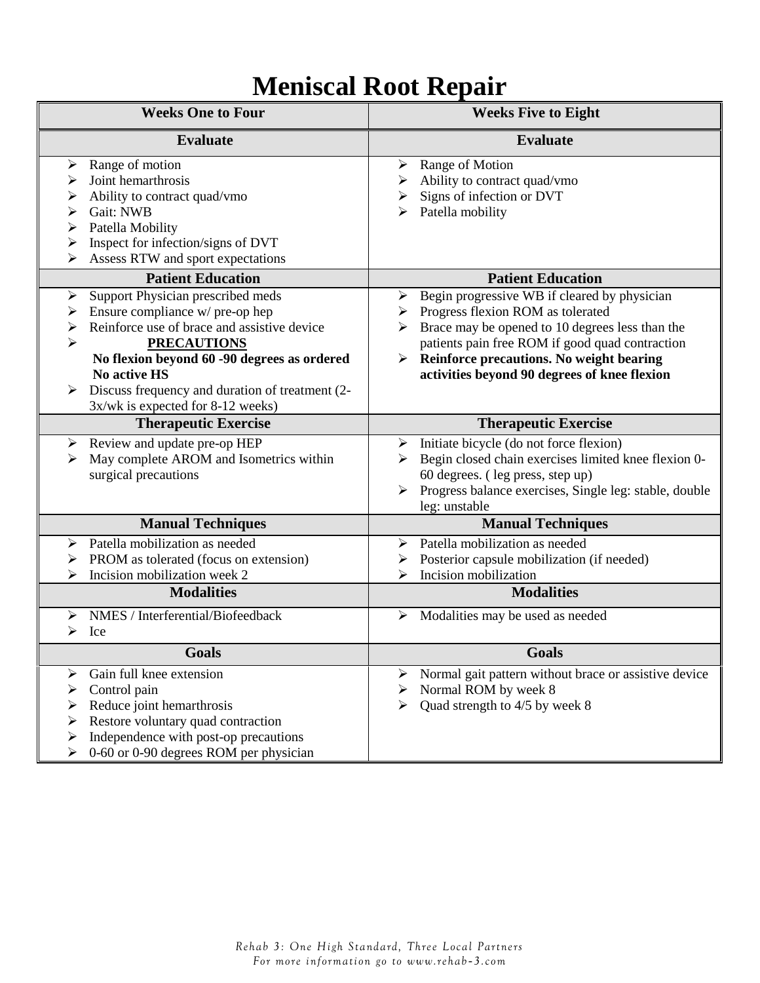## **Meniscal Root Repair**

| <b>Weeks One to Four</b>                                                                                                                                                                                                                                                                                                  | <b>Weeks Five to Eight</b>                                                                                                                                                                                                                                                                              |
|---------------------------------------------------------------------------------------------------------------------------------------------------------------------------------------------------------------------------------------------------------------------------------------------------------------------------|---------------------------------------------------------------------------------------------------------------------------------------------------------------------------------------------------------------------------------------------------------------------------------------------------------|
| <b>Evaluate</b>                                                                                                                                                                                                                                                                                                           | <b>Evaluate</b>                                                                                                                                                                                                                                                                                         |
| Range of motion<br>➤<br>Joint hemarthrosis<br>➤<br>Ability to contract quad/vmo<br>➤<br>Gait: NWB<br>➤<br>Patella Mobility<br>⋗<br>Inspect for infection/signs of DVT<br>⋗<br>Assess RTW and sport expectations<br>⋗                                                                                                      | Range of Motion<br>➤<br>Ability to contract quad/vmo<br>Signs of infection or DVT<br>➤<br>Patella mobility                                                                                                                                                                                              |
| <b>Patient Education</b>                                                                                                                                                                                                                                                                                                  | <b>Patient Education</b>                                                                                                                                                                                                                                                                                |
| Support Physician prescribed meds<br>➤<br>Ensure compliance w/ pre-op hep<br>➤<br>Reinforce use of brace and assistive device<br>➤<br>➤<br><b>PRECAUTIONS</b><br>No flexion beyond 60 -90 degrees as ordered<br>No active HS<br>Discuss frequency and duration of treatment (2-<br>➤<br>3x/wk is expected for 8-12 weeks) | Begin progressive WB if cleared by physician<br>➤<br>Progress flexion ROM as tolerated<br>➤<br>Brace may be opened to 10 degrees less than the<br>➤<br>patients pain free ROM if good quad contraction<br>Reinforce precautions. No weight bearing<br>➤<br>activities beyond 90 degrees of knee flexion |
| <b>Therapeutic Exercise</b>                                                                                                                                                                                                                                                                                               | <b>Therapeutic Exercise</b>                                                                                                                                                                                                                                                                             |
| Review and update pre-op HEP<br>➤<br>May complete AROM and Isometrics within<br>➤<br>surgical precautions                                                                                                                                                                                                                 | Initiate bicycle (do not force flexion)<br>➤<br>Begin closed chain exercises limited knee flexion 0-<br>60 degrees. (leg press, step up)<br>Progress balance exercises, Single leg: stable, double<br>leg: unstable                                                                                     |
| <b>Manual Techniques</b>                                                                                                                                                                                                                                                                                                  | <b>Manual Techniques</b>                                                                                                                                                                                                                                                                                |
| Patella mobilization as needed<br>≻<br>PROM as tolerated (focus on extension)<br>➤<br>Incision mobilization week 2<br><b>Modalities</b><br>NMES / Interferential/Biofeedback<br>➤                                                                                                                                         | Patella mobilization as needed<br>≻<br>Posterior capsule mobilization (if needed)<br>➤<br>Incision mobilization<br>⋗<br><b>Modalities</b><br>Modalities may be used as needed<br>➤                                                                                                                      |
| ➤<br>Ice                                                                                                                                                                                                                                                                                                                  |                                                                                                                                                                                                                                                                                                         |
| Goals                                                                                                                                                                                                                                                                                                                     | Goals                                                                                                                                                                                                                                                                                                   |
| Gain full knee extension<br>⋗<br>Control pain<br>⋗<br>Reduce joint hemarthrosis<br>Restore voluntary quad contraction<br>Independence with post-op precautions<br>➤<br>0-60 or 0-90 degrees ROM per physician                                                                                                             | Normal gait pattern without brace or assistive device<br>⋗<br>Normal ROM by week 8<br>⋗<br>Quad strength to 4/5 by week 8                                                                                                                                                                               |